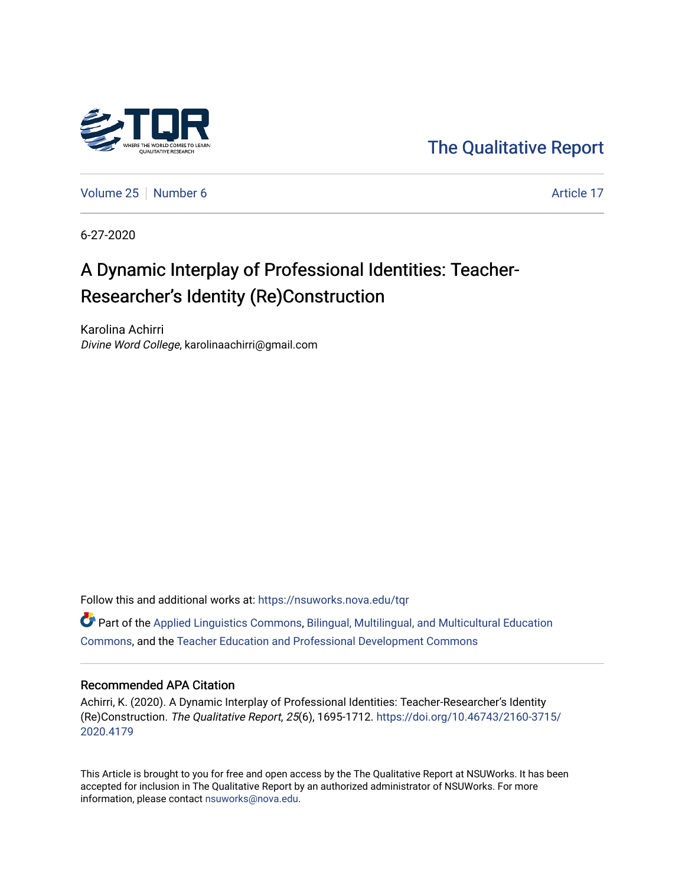

[The Qualitative Report](https://nsuworks.nova.edu/tqr) 

[Volume 25](https://nsuworks.nova.edu/tqr/vol25) [Number 6](https://nsuworks.nova.edu/tqr/vol25/iss6) Article 17

6-27-2020

# A Dynamic Interplay of Professional Identities: Teacher-Researcher's Identity (Re)Construction

Karolina Achirri Divine Word College, karolinaachirri@gmail.com

Follow this and additional works at: [https://nsuworks.nova.edu/tqr](https://nsuworks.nova.edu/tqr?utm_source=nsuworks.nova.edu%2Ftqr%2Fvol25%2Fiss6%2F17&utm_medium=PDF&utm_campaign=PDFCoverPages) 

 $\bullet$  Part of the [Applied Linguistics Commons,](http://network.bepress.com/hgg/discipline/373?utm_source=nsuworks.nova.edu%2Ftqr%2Fvol25%2Fiss6%2F17&utm_medium=PDF&utm_campaign=PDFCoverPages) [Bilingual, Multilingual, and Multicultural Education](http://network.bepress.com/hgg/discipline/785?utm_source=nsuworks.nova.edu%2Ftqr%2Fvol25%2Fiss6%2F17&utm_medium=PDF&utm_campaign=PDFCoverPages) [Commons](http://network.bepress.com/hgg/discipline/785?utm_source=nsuworks.nova.edu%2Ftqr%2Fvol25%2Fiss6%2F17&utm_medium=PDF&utm_campaign=PDFCoverPages), and the [Teacher Education and Professional Development Commons](http://network.bepress.com/hgg/discipline/803?utm_source=nsuworks.nova.edu%2Ftqr%2Fvol25%2Fiss6%2F17&utm_medium=PDF&utm_campaign=PDFCoverPages)

#### Recommended APA Citation

Achirri, K. (2020). A Dynamic Interplay of Professional Identities: Teacher-Researcher's Identity (Re)Construction. The Qualitative Report, 25(6), 1695-1712. [https://doi.org/10.46743/2160-3715/](https://doi.org/10.46743/2160-3715/2020.4179) [2020.4179](https://doi.org/10.46743/2160-3715/2020.4179) 

This Article is brought to you for free and open access by the The Qualitative Report at NSUWorks. It has been accepted for inclusion in The Qualitative Report by an authorized administrator of NSUWorks. For more information, please contact [nsuworks@nova.edu.](mailto:nsuworks@nova.edu)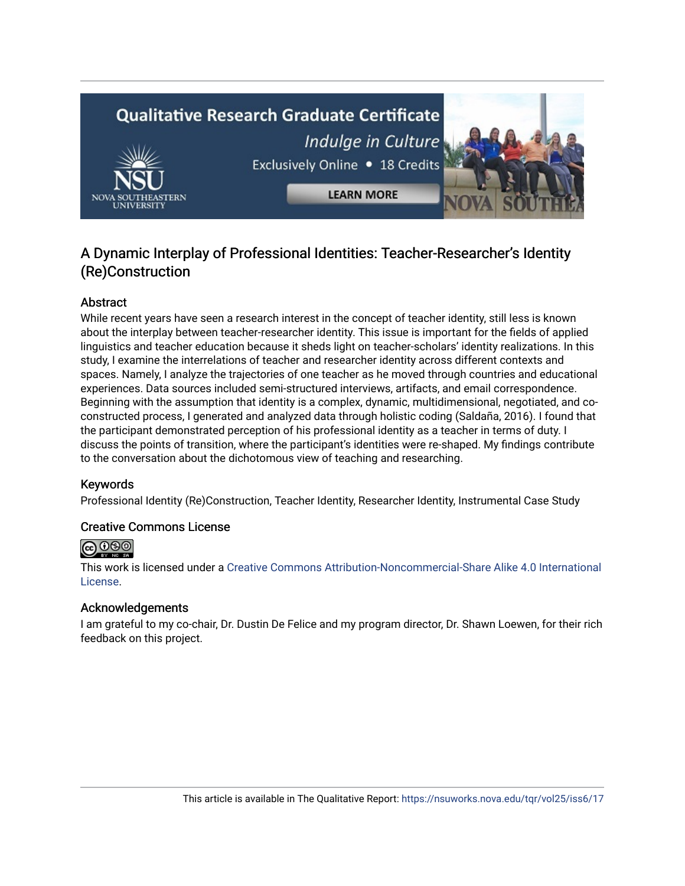# **Qualitative Research Graduate Certificate** Indulge in Culture



**LEARN MORE** 

# Exclusively Online . 18 Credits

# A Dynamic Interplay of Professional Identities: Teacher-Researcher's Identity (Re)Construction

## Abstract

While recent years have seen a research interest in the concept of teacher identity, still less is known about the interplay between teacher-researcher identity. This issue is important for the fields of applied linguistics and teacher education because it sheds light on teacher-scholars' identity realizations. In this study, I examine the interrelations of teacher and researcher identity across different contexts and spaces. Namely, I analyze the trajectories of one teacher as he moved through countries and educational experiences. Data sources included semi-structured interviews, artifacts, and email correspondence. Beginning with the assumption that identity is a complex, dynamic, multidimensional, negotiated, and coconstructed process, I generated and analyzed data through holistic coding (Saldaña, 2016). I found that the participant demonstrated perception of his professional identity as a teacher in terms of duty. I discuss the points of transition, where the participant's identities were re-shaped. My findings contribute to the conversation about the dichotomous view of teaching and researching.

## Keywords

Professional Identity (Re)Construction, Teacher Identity, Researcher Identity, Instrumental Case Study

## Creative Commons License



This work is licensed under a [Creative Commons Attribution-Noncommercial-Share Alike 4.0 International](https://creativecommons.org/licenses/by-nc-sa/4.0/)  [License](https://creativecommons.org/licenses/by-nc-sa/4.0/).

#### Acknowledgements

I am grateful to my co-chair, Dr. Dustin De Felice and my program director, Dr. Shawn Loewen, for their rich feedback on this project.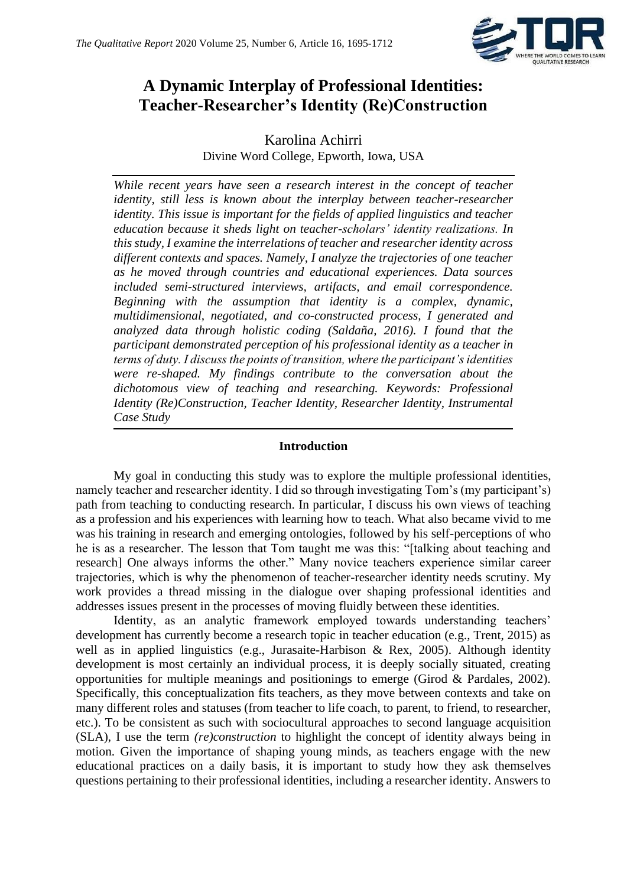

# **A Dynamic Interplay of Professional Identities: Teacher-Researcher's Identity (Re)Construction**

Karolina Achirri Divine Word College, Epworth, Iowa, USA

*While recent years have seen a research interest in the concept of teacher identity, still less is known about the interplay between teacher-researcher identity. This issue is important for the fields of applied linguistics and teacher education because it sheds light on teacher-scholars' identity realizations. In this study, I examine the interrelations of teacher and researcher identity across different contexts and spaces. Namely, I analyze the trajectories of one teacher as he moved through countries and educational experiences. Data sources included semi-structured interviews, artifacts, and email correspondence. Beginning with the assumption that identity is a complex, dynamic, multidimensional, negotiated, and co-constructed process, I generated and analyzed data through holistic coding (Saldaña, 2016). I found that the participant demonstrated perception of his professional identity as a teacher in terms of duty. I discuss the points of transition, where the participant's identities were re-shaped. My findings contribute to the conversation about the dichotomous view of teaching and researching. Keywords: Professional Identity (Re)Construction, Teacher Identity, Researcher Identity, Instrumental Case Study*

#### **Introduction**

My goal in conducting this study was to explore the multiple professional identities, namely teacher and researcher identity. I did so through investigating Tom's (my participant's) path from teaching to conducting research. In particular, I discuss his own views of teaching as a profession and his experiences with learning how to teach. What also became vivid to me was his training in research and emerging ontologies, followed by his self-perceptions of who he is as a researcher. The lesson that Tom taught me was this: "[talking about teaching and research] One always informs the other." Many novice teachers experience similar career trajectories, which is why the phenomenon of teacher-researcher identity needs scrutiny. My work provides a thread missing in the dialogue over shaping professional identities and addresses issues present in the processes of moving fluidly between these identities.

Identity, as an analytic framework employed towards understanding teachers' development has currently become a research topic in teacher education (e.g., Trent, 2015) as well as in applied linguistics (e.g., Jurasaite-Harbison & Rex, 2005). Although identity development is most certainly an individual process, it is deeply socially situated, creating opportunities for multiple meanings and positionings to emerge (Girod & Pardales, 2002). Specifically, this conceptualization fits teachers, as they move between contexts and take on many different roles and statuses (from teacher to life coach, to parent, to friend, to researcher, etc.). To be consistent as such with sociocultural approaches to second language acquisition (SLA), I use the term *(re)construction* to highlight the concept of identity always being in motion. Given the importance of shaping young minds, as teachers engage with the new educational practices on a daily basis, it is important to study how they ask themselves questions pertaining to their professional identities, including a researcher identity. Answers to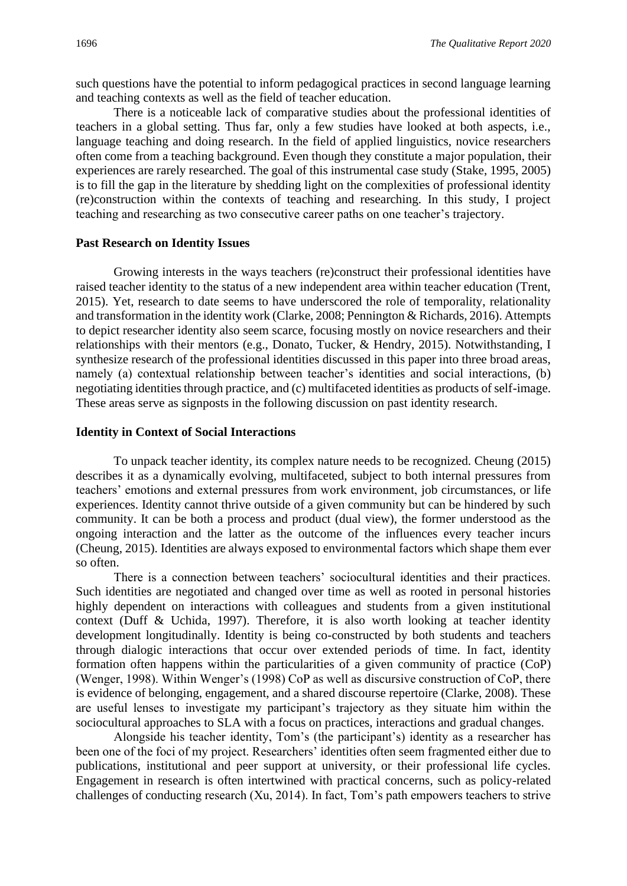such questions have the potential to inform pedagogical practices in second language learning and teaching contexts as well as the field of teacher education.

There is a noticeable lack of comparative studies about the professional identities of teachers in a global setting. Thus far, only a few studies have looked at both aspects, i.e., language teaching and doing research. In the field of applied linguistics, novice researchers often come from a teaching background. Even though they constitute a major population, their experiences are rarely researched. The goal of this instrumental case study (Stake, 1995, 2005) is to fill the gap in the literature by shedding light on the complexities of professional identity (re)construction within the contexts of teaching and researching. In this study, I project teaching and researching as two consecutive career paths on one teacher's trajectory.

#### **Past Research on Identity Issues**

Growing interests in the ways teachers (re)construct their professional identities have raised teacher identity to the status of a new independent area within teacher education (Trent, 2015). Yet, research to date seems to have underscored the role of temporality, relationality and transformation in the identity work (Clarke, 2008; Pennington & Richards, 2016). Attempts to depict researcher identity also seem scarce, focusing mostly on novice researchers and their relationships with their mentors (e.g., Donato, Tucker, & Hendry, 2015). Notwithstanding, I synthesize research of the professional identities discussed in this paper into three broad areas, namely (a) contextual relationship between teacher's identities and social interactions, (b) negotiating identities through practice, and (c) multifaceted identities as products of self-image. These areas serve as signposts in the following discussion on past identity research.

#### **Identity in Context of Social Interactions**

To unpack teacher identity, its complex nature needs to be recognized. Cheung (2015) describes it as a dynamically evolving, multifaceted, subject to both internal pressures from teachers' emotions and external pressures from work environment, job circumstances, or life experiences. Identity cannot thrive outside of a given community but can be hindered by such community. It can be both a process and product (dual view), the former understood as the ongoing interaction and the latter as the outcome of the influences every teacher incurs (Cheung, 2015). Identities are always exposed to environmental factors which shape them ever so often.

There is a connection between teachers' sociocultural identities and their practices. Such identities are negotiated and changed over time as well as rooted in personal histories highly dependent on interactions with colleagues and students from a given institutional context (Duff & Uchida, 1997). Therefore, it is also worth looking at teacher identity development longitudinally. Identity is being co-constructed by both students and teachers through dialogic interactions that occur over extended periods of time. In fact, identity formation often happens within the particularities of a given community of practice (CoP) (Wenger, 1998). Within Wenger's (1998) CoP as well as discursive construction of CoP, there is evidence of belonging, engagement, and a shared discourse repertoire (Clarke, 2008). These are useful lenses to investigate my participant's trajectory as they situate him within the sociocultural approaches to SLA with a focus on practices, interactions and gradual changes.

Alongside his teacher identity, Tom's (the participant's) identity as a researcher has been one of the foci of my project. Researchers' identities often seem fragmented either due to publications, institutional and peer support at university, or their professional life cycles. Engagement in research is often intertwined with practical concerns, such as policy-related challenges of conducting research (Xu, 2014). In fact, Tom's path empowers teachers to strive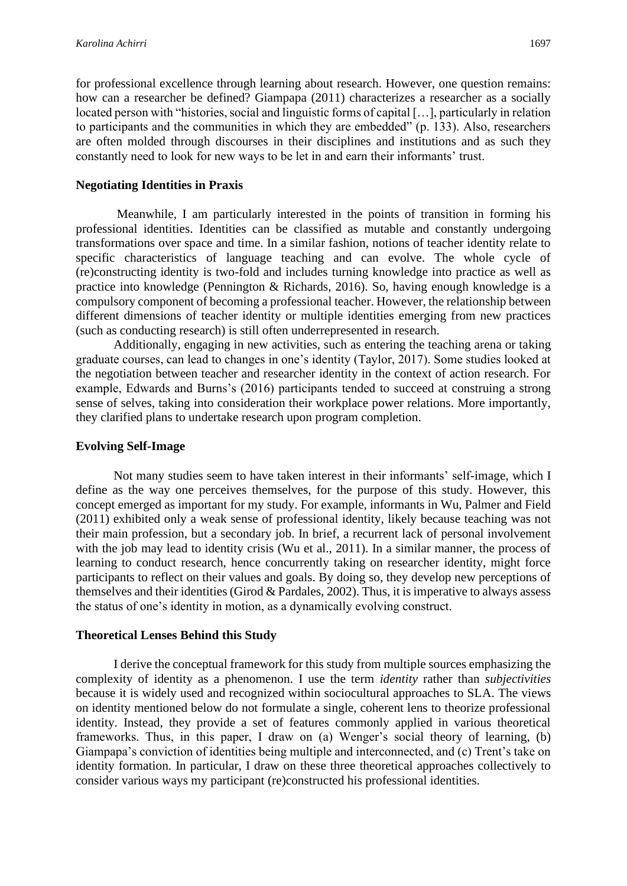for professional excellence through learning about research. However, one question remains: how can a researcher be defined? Giampapa (2011) characterizes a researcher as a socially located person with "histories, social and linguistic forms of capital […], particularly in relation to participants and the communities in which they are embedded" (p. 133). Also, researchers are often molded through discourses in their disciplines and institutions and as such they constantly need to look for new ways to be let in and earn their informants' trust.

#### **Negotiating Identities in Praxis**

Meanwhile, I am particularly interested in the points of transition in forming his professional identities. Identities can be classified as mutable and constantly undergoing transformations over space and time. In a similar fashion, notions of teacher identity relate to specific characteristics of language teaching and can evolve. The whole cycle of (re)constructing identity is two-fold and includes turning knowledge into practice as well as practice into knowledge (Pennington & Richards, 2016). So, having enough knowledge is a compulsory component of becoming a professional teacher. However, the relationship between different dimensions of teacher identity or multiple identities emerging from new practices (such as conducting research) is still often underrepresented in research.

Additionally, engaging in new activities, such as entering the teaching arena or taking graduate courses, can lead to changes in one's identity (Taylor, 2017). Some studies looked at the negotiation between teacher and researcher identity in the context of action research. For example, Edwards and Burns's (2016) participants tended to succeed at construing a strong sense of selves, taking into consideration their workplace power relations. More importantly, they clarified plans to undertake research upon program completion.

#### **Evolving Self-Image**

Not many studies seem to have taken interest in their informants' self-image, which I define as the way one perceives themselves, for the purpose of this study. However, this concept emerged as important for my study. For example, informants in Wu, Palmer and Field (2011) exhibited only a weak sense of professional identity, likely because teaching was not their main profession, but a secondary job. In brief, a recurrent lack of personal involvement with the job may lead to identity crisis (Wu et al., 2011). In a similar manner, the process of learning to conduct research, hence concurrently taking on researcher identity, might force participants to reflect on their values and goals. By doing so, they develop new perceptions of themselves and their identities (Girod & Pardales, 2002). Thus, it is imperative to always assess the status of one's identity in motion, as a dynamically evolving construct.

#### **Theoretical Lenses Behind this Study**

I derive the conceptual framework for this study from multiple sources emphasizing the complexity of identity as a phenomenon. I use the term *identity* rather than *subjectivities*  because it is widely used and recognized within sociocultural approaches to SLA. The views on identity mentioned below do not formulate a single, coherent lens to theorize professional identity. Instead, they provide a set of features commonly applied in various theoretical frameworks. Thus, in this paper, I draw on (a) Wenger's social theory of learning, (b) Giampapa's conviction of identities being multiple and interconnected, and (c) Trent's take on identity formation. In particular, I draw on these three theoretical approaches collectively to consider various ways my participant (re)constructed his professional identities.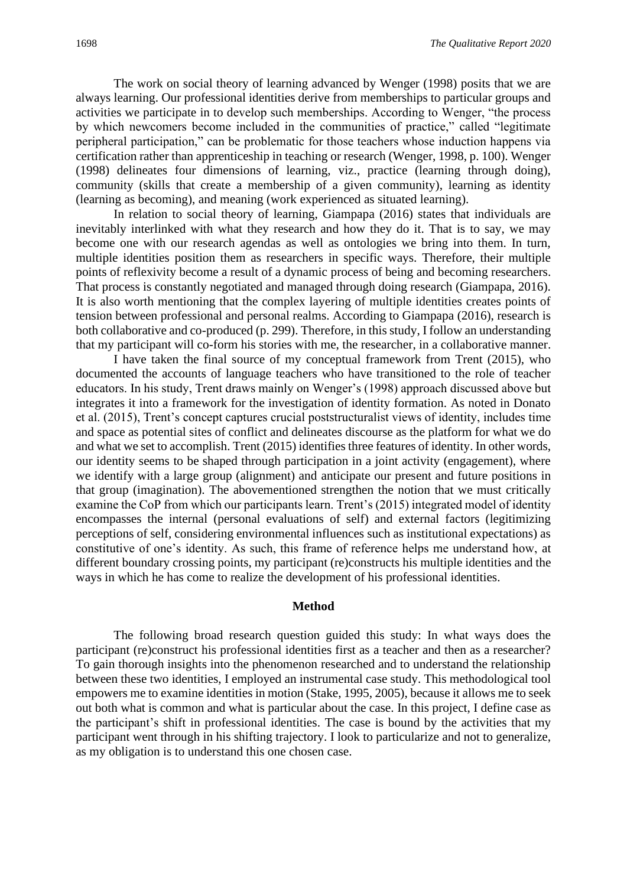The work on social theory of learning advanced by Wenger (1998) posits that we are always learning. Our professional identities derive from memberships to particular groups and activities we participate in to develop such memberships. According to Wenger, "the process by which newcomers become included in the communities of practice," called "legitimate peripheral participation," can be problematic for those teachers whose induction happens via certification rather than apprenticeship in teaching or research (Wenger, 1998, p. 100). Wenger (1998) delineates four dimensions of learning, viz., practice (learning through doing), community (skills that create a membership of a given community), learning as identity (learning as becoming), and meaning (work experienced as situated learning).

In relation to social theory of learning, Giampapa (2016) states that individuals are inevitably interlinked with what they research and how they do it. That is to say, we may become one with our research agendas as well as ontologies we bring into them. In turn, multiple identities position them as researchers in specific ways. Therefore, their multiple points of reflexivity become a result of a dynamic process of being and becoming researchers. That process is constantly negotiated and managed through doing research (Giampapa, 2016). It is also worth mentioning that the complex layering of multiple identities creates points of tension between professional and personal realms. According to Giampapa (2016), research is both collaborative and co-produced (p. 299). Therefore, in this study, I follow an understanding that my participant will co-form his stories with me, the researcher, in a collaborative manner.

I have taken the final source of my conceptual framework from Trent (2015), who documented the accounts of language teachers who have transitioned to the role of teacher educators. In his study, Trent draws mainly on Wenger's (1998) approach discussed above but integrates it into a framework for the investigation of identity formation. As noted in Donato et al. (2015), Trent's concept captures crucial poststructuralist views of identity, includes time and space as potential sites of conflict and delineates discourse as the platform for what we do and what we set to accomplish. Trent (2015) identifies three features of identity. In other words, our identity seems to be shaped through participation in a joint activity (engagement), where we identify with a large group (alignment) and anticipate our present and future positions in that group (imagination). The abovementioned strengthen the notion that we must critically examine the CoP from which our participants learn. Trent's (2015) integrated model of identity encompasses the internal (personal evaluations of self) and external factors (legitimizing perceptions of self, considering environmental influences such as institutional expectations) as constitutive of one's identity. As such, this frame of reference helps me understand how, at different boundary crossing points, my participant (re)constructs his multiple identities and the ways in which he has come to realize the development of his professional identities.

#### **Method**

The following broad research question guided this study: In what ways does the participant (re)construct his professional identities first as a teacher and then as a researcher? To gain thorough insights into the phenomenon researched and to understand the relationship between these two identities, I employed an instrumental case study. This methodological tool empowers me to examine identities in motion (Stake, 1995, 2005), because it allows me to seek out both what is common and what is particular about the case. In this project, I define case as the participant's shift in professional identities. The case is bound by the activities that my participant went through in his shifting trajectory. I look to particularize and not to generalize, as my obligation is to understand this one chosen case.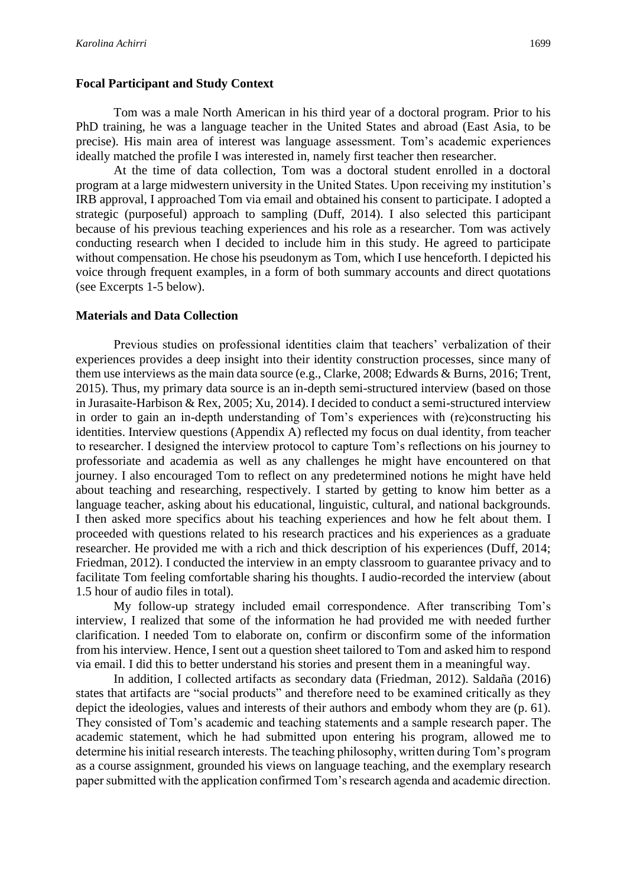#### **Focal Participant and Study Context**

Tom was a male North American in his third year of a doctoral program. Prior to his PhD training, he was a language teacher in the United States and abroad (East Asia, to be precise). His main area of interest was language assessment. Tom's academic experiences ideally matched the profile I was interested in, namely first teacher then researcher.

At the time of data collection, Tom was a doctoral student enrolled in a doctoral program at a large midwestern university in the United States. Upon receiving my institution's IRB approval, I approached Tom via email and obtained his consent to participate. I adopted a strategic (purposeful) approach to sampling (Duff, 2014). I also selected this participant because of his previous teaching experiences and his role as a researcher. Tom was actively conducting research when I decided to include him in this study. He agreed to participate without compensation. He chose his pseudonym as Tom, which I use henceforth. I depicted his voice through frequent examples, in a form of both summary accounts and direct quotations (see Excerpts 1-5 below).

#### **Materials and Data Collection**

Previous studies on professional identities claim that teachers' verbalization of their experiences provides a deep insight into their identity construction processes, since many of them use interviews as the main data source (e.g., Clarke, 2008; Edwards & Burns, 2016; Trent, 2015). Thus, my primary data source is an in-depth semi-structured interview (based on those in Jurasaite-Harbison & Rex, 2005; Xu, 2014). I decided to conduct a semi-structured interview in order to gain an in-depth understanding of Tom's experiences with (re)constructing his identities. Interview questions (Appendix A) reflected my focus on dual identity, from teacher to researcher. I designed the interview protocol to capture Tom's reflections on his journey to professoriate and academia as well as any challenges he might have encountered on that journey. I also encouraged Tom to reflect on any predetermined notions he might have held about teaching and researching, respectively. I started by getting to know him better as a language teacher, asking about his educational, linguistic, cultural, and national backgrounds. I then asked more specifics about his teaching experiences and how he felt about them. I proceeded with questions related to his research practices and his experiences as a graduate researcher. He provided me with a rich and thick description of his experiences (Duff, 2014; Friedman, 2012). I conducted the interview in an empty classroom to guarantee privacy and to facilitate Tom feeling comfortable sharing his thoughts. I audio-recorded the interview (about 1.5 hour of audio files in total).

My follow-up strategy included email correspondence. After transcribing Tom's interview, I realized that some of the information he had provided me with needed further clarification. I needed Tom to elaborate on, confirm or disconfirm some of the information from his interview. Hence, I sent out a question sheet tailored to Tom and asked him to respond via email. I did this to better understand his stories and present them in a meaningful way.

In addition, I collected artifacts as secondary data (Friedman, 2012). Saldaña (2016) states that artifacts are "social products" and therefore need to be examined critically as they depict the ideologies, values and interests of their authors and embody whom they are (p. 61). They consisted of Tom's academic and teaching statements and a sample research paper. The academic statement, which he had submitted upon entering his program, allowed me to determine his initial research interests. The teaching philosophy, written during Tom's program as a course assignment, grounded his views on language teaching, and the exemplary research paper submitted with the application confirmed Tom's research agenda and academic direction.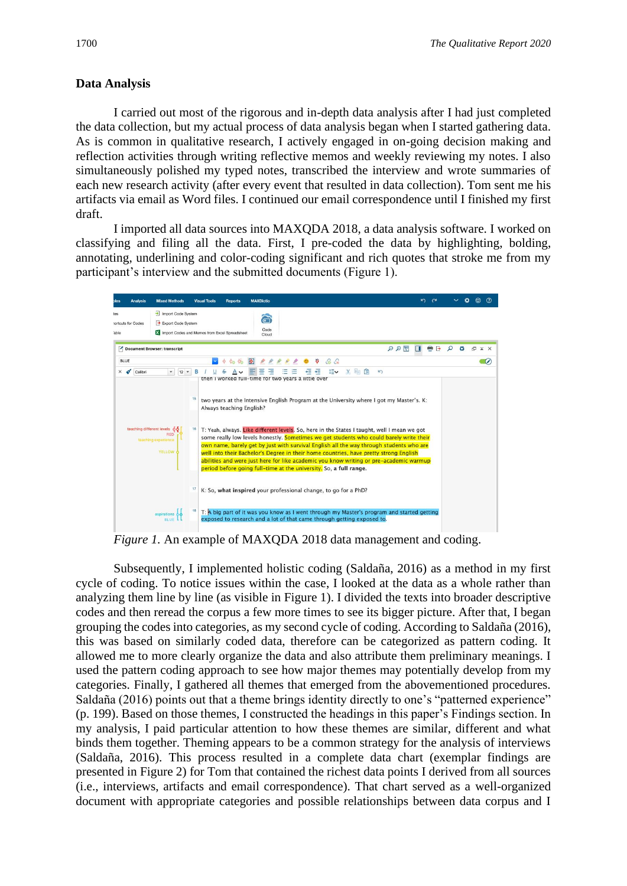#### **Data Analysis**

I carried out most of the rigorous and in-depth data analysis after I had just completed the data collection, but my actual process of data analysis began when I started gathering data. As is common in qualitative research, I actively engaged in on-going decision making and reflection activities through writing reflective memos and weekly reviewing my notes. I also simultaneously polished my typed notes, transcribed the interview and wrote summaries of each new research activity (after every event that resulted in data collection). Tom sent me his artifacts via email as Word files. I continued our email correspondence until I finished my first draft.

I imported all data sources into MAXQDA 2018, a data analysis software. I worked on classifying and filing all the data. First, I pre-coded the data by highlighting, bolding, annotating, underlining and color-coding significant and rich quotes that stroke me from my participant's interview and the submitted documents (Figure 1).



*Figure 1.* An example of MAXQDA 2018 data management and coding.

Subsequently, I implemented holistic coding (Saldaña, 2016) as a method in my first cycle of coding. To notice issues within the case, I looked at the data as a whole rather than analyzing them line by line (as visible in Figure 1). I divided the texts into broader descriptive codes and then reread the corpus a few more times to see its bigger picture. After that, I began grouping the codes into categories, as my second cycle of coding. According to Saldaña (2016), this was based on similarly coded data, therefore can be categorized as pattern coding. It allowed me to more clearly organize the data and also attribute them preliminary meanings. I used the pattern coding approach to see how major themes may potentially develop from my categories. Finally, I gathered all themes that emerged from the abovementioned procedures. Saldaña (2016) points out that a theme brings identity directly to one's "patterned experience" (p. 199). Based on those themes, I constructed the headings in this paper's Findings section. In my analysis, I paid particular attention to how these themes are similar, different and what binds them together. Theming appears to be a common strategy for the analysis of interviews (Saldaña, 2016). This process resulted in a complete data chart (exemplar findings are presented in Figure 2) for Tom that contained the richest data points I derived from all sources (i.e., interviews, artifacts and email correspondence). That chart served as a well-organized document with appropriate categories and possible relationships between data corpus and I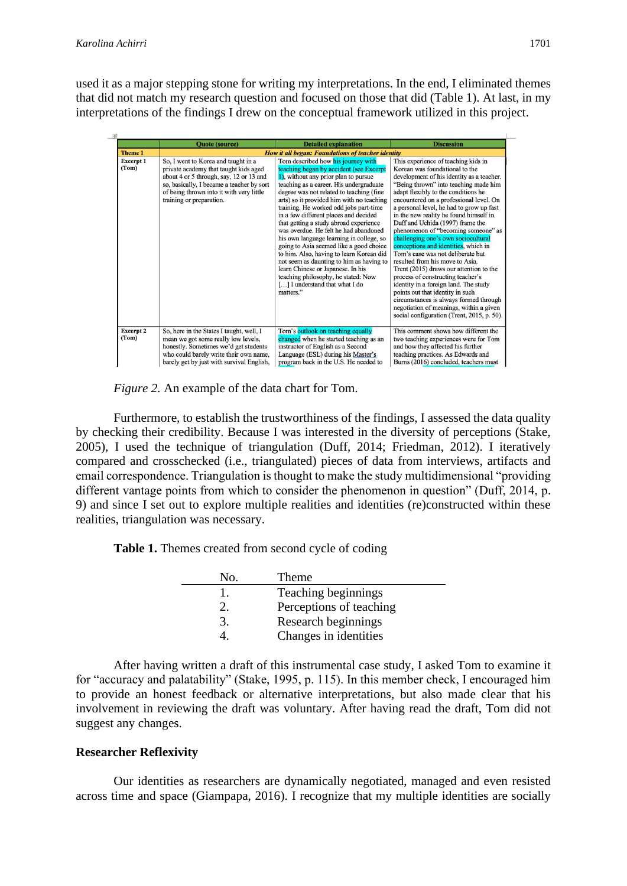used it as a major stepping stone for writing my interpretations. In the end, I eliminated themes that did not match my research question and focused on those that did (Table 1). At last, in my interpretations of the findings I drew on the conceptual framework utilized in this project.



*Figure 2.* An example of the data chart for Tom.

Furthermore, to establish the trustworthiness of the findings, I assessed the data quality by checking their credibility. Because I was interested in the diversity of perceptions (Stake, 2005), I used the technique of triangulation (Duff, 2014; Friedman, 2012). I iteratively compared and crosschecked (i.e., triangulated) pieces of data from interviews, artifacts and email correspondence. Triangulation is thought to make the study multidimensional "providing different vantage points from which to consider the phenomenon in question" (Duff, 2014, p. 9) and since I set out to explore multiple realities and identities (re)constructed within these realities, triangulation was necessary.

**Table 1.** Themes created from second cycle of coding

| No. | Theme                   |
|-----|-------------------------|
|     | Teaching beginnings     |
|     | Perceptions of teaching |
| 3.  | Research beginnings     |
|     | Changes in identities   |

After having written a draft of this instrumental case study, I asked Tom to examine it for "accuracy and palatability" (Stake, 1995, p. 115). In this member check, I encouraged him to provide an honest feedback or alternative interpretations, but also made clear that his involvement in reviewing the draft was voluntary. After having read the draft, Tom did not suggest any changes.

#### **Researcher Reflexivity**

Our identities as researchers are dynamically negotiated, managed and even resisted across time and space (Giampapa, 2016). I recognize that my multiple identities are socially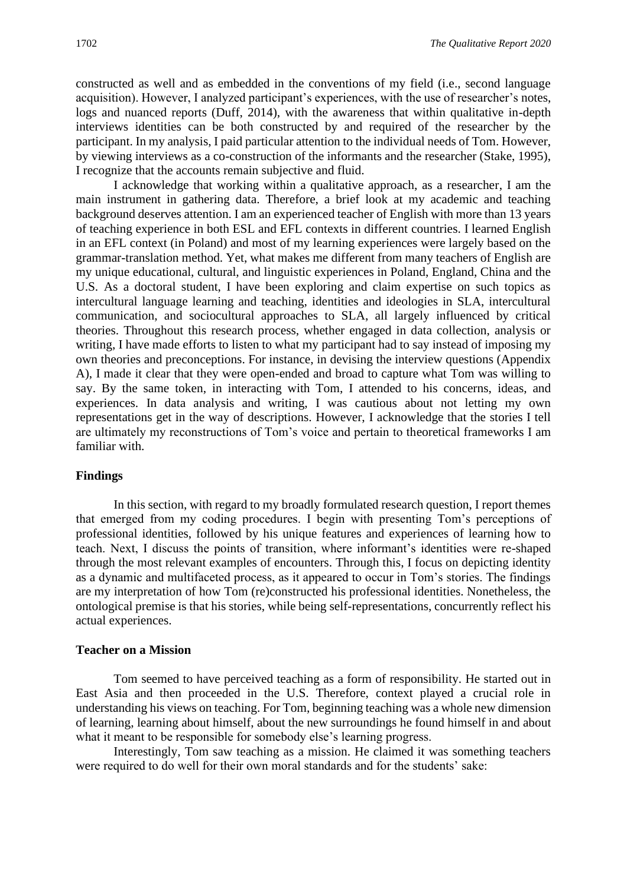constructed as well and as embedded in the conventions of my field (i.e., second language acquisition). However, I analyzed participant's experiences, with the use of researcher's notes, logs and nuanced reports (Duff, 2014), with the awareness that within qualitative in-depth interviews identities can be both constructed by and required of the researcher by the participant. In my analysis, I paid particular attention to the individual needs of Tom. However, by viewing interviews as a co-construction of the informants and the researcher (Stake, 1995), I recognize that the accounts remain subjective and fluid.

I acknowledge that working within a qualitative approach, as a researcher, I am the main instrument in gathering data. Therefore, a brief look at my academic and teaching background deserves attention. I am an experienced teacher of English with more than 13 years of teaching experience in both ESL and EFL contexts in different countries. I learned English in an EFL context (in Poland) and most of my learning experiences were largely based on the grammar-translation method. Yet, what makes me different from many teachers of English are my unique educational, cultural, and linguistic experiences in Poland, England, China and the U.S. As a doctoral student, I have been exploring and claim expertise on such topics as intercultural language learning and teaching, identities and ideologies in SLA, intercultural communication, and sociocultural approaches to SLA, all largely influenced by critical theories. Throughout this research process, whether engaged in data collection, analysis or writing, I have made efforts to listen to what my participant had to say instead of imposing my own theories and preconceptions. For instance, in devising the interview questions (Appendix A), I made it clear that they were open-ended and broad to capture what Tom was willing to say. By the same token, in interacting with Tom, I attended to his concerns, ideas, and experiences. In data analysis and writing, I was cautious about not letting my own representations get in the way of descriptions. However, I acknowledge that the stories I tell are ultimately my reconstructions of Tom's voice and pertain to theoretical frameworks I am familiar with.

#### **Findings**

In this section, with regard to my broadly formulated research question, I report themes that emerged from my coding procedures. I begin with presenting Tom's perceptions of professional identities, followed by his unique features and experiences of learning how to teach. Next, I discuss the points of transition, where informant's identities were re-shaped through the most relevant examples of encounters. Through this, I focus on depicting identity as a dynamic and multifaceted process, as it appeared to occur in Tom's stories. The findings are my interpretation of how Tom (re)constructed his professional identities. Nonetheless, the ontological premise is that his stories, while being self-representations, concurrently reflect his actual experiences.

#### **Teacher on a Mission**

Tom seemed to have perceived teaching as a form of responsibility. He started out in East Asia and then proceeded in the U.S. Therefore, context played a crucial role in understanding his views on teaching. For Tom, beginning teaching was a whole new dimension of learning, learning about himself, about the new surroundings he found himself in and about what it meant to be responsible for somebody else's learning progress.

Interestingly, Tom saw teaching as a mission. He claimed it was something teachers were required to do well for their own moral standards and for the students' sake: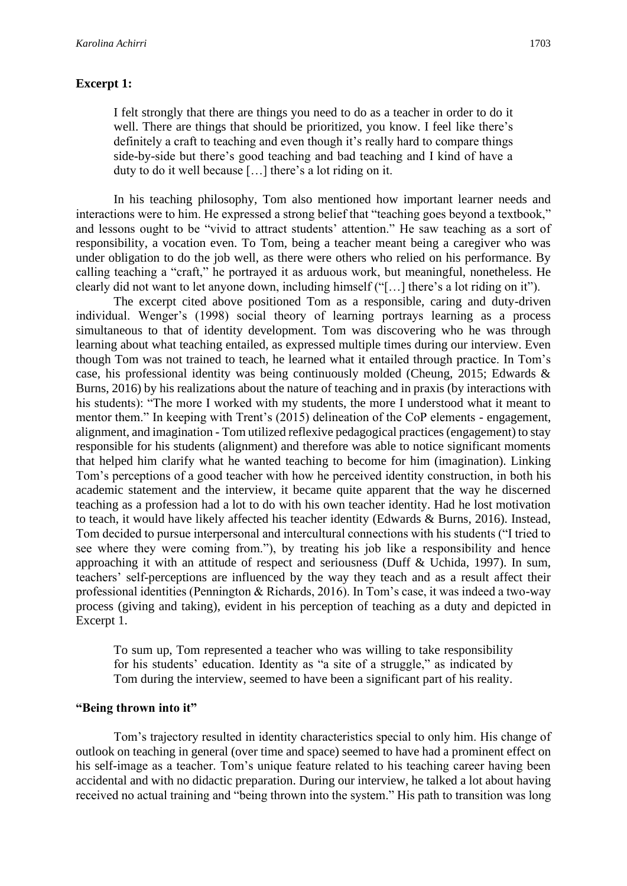#### **Excerpt 1:**

I felt strongly that there are things you need to do as a teacher in order to do it well. There are things that should be prioritized, you know. I feel like there's definitely a craft to teaching and even though it's really hard to compare things side-by-side but there's good teaching and bad teaching and I kind of have a duty to do it well because […] there's a lot riding on it.

In his teaching philosophy, Tom also mentioned how important learner needs and interactions were to him. He expressed a strong belief that "teaching goes beyond a textbook," and lessons ought to be "vivid to attract students' attention." He saw teaching as a sort of responsibility, a vocation even. To Tom, being a teacher meant being a caregiver who was under obligation to do the job well, as there were others who relied on his performance. By calling teaching a "craft," he portrayed it as arduous work, but meaningful, nonetheless. He clearly did not want to let anyone down, including himself ("[…] there's a lot riding on it").

The excerpt cited above positioned Tom as a responsible, caring and duty-driven individual. Wenger's (1998) social theory of learning portrays learning as a process simultaneous to that of identity development. Tom was discovering who he was through learning about what teaching entailed, as expressed multiple times during our interview. Even though Tom was not trained to teach, he learned what it entailed through practice. In Tom's case, his professional identity was being continuously molded (Cheung, 2015; Edwards & Burns, 2016) by his realizations about the nature of teaching and in praxis (by interactions with his students): "The more I worked with my students, the more I understood what it meant to mentor them." In keeping with Trent's (2015) delineation of the CoP elements - engagement, alignment, and imagination - Tom utilized reflexive pedagogical practices (engagement) to stay responsible for his students (alignment) and therefore was able to notice significant moments that helped him clarify what he wanted teaching to become for him (imagination). Linking Tom's perceptions of a good teacher with how he perceived identity construction, in both his academic statement and the interview, it became quite apparent that the way he discerned teaching as a profession had a lot to do with his own teacher identity. Had he lost motivation to teach, it would have likely affected his teacher identity (Edwards & Burns, 2016). Instead, Tom decided to pursue interpersonal and intercultural connections with his students ("I tried to see where they were coming from."), by treating his job like a responsibility and hence approaching it with an attitude of respect and seriousness (Duff & Uchida, 1997). In sum, teachers' self-perceptions are influenced by the way they teach and as a result affect their professional identities (Pennington & Richards, 2016). In Tom's case, it was indeed a two-way process (giving and taking), evident in his perception of teaching as a duty and depicted in Excerpt 1.

To sum up, Tom represented a teacher who was willing to take responsibility for his students' education. Identity as "a site of a struggle," as indicated by Tom during the interview, seemed to have been a significant part of his reality.

#### **"Being thrown into it"**

Tom's trajectory resulted in identity characteristics special to only him. His change of outlook on teaching in general (over time and space) seemed to have had a prominent effect on his self-image as a teacher. Tom's unique feature related to his teaching career having been accidental and with no didactic preparation. During our interview, he talked a lot about having received no actual training and "being thrown into the system." His path to transition was long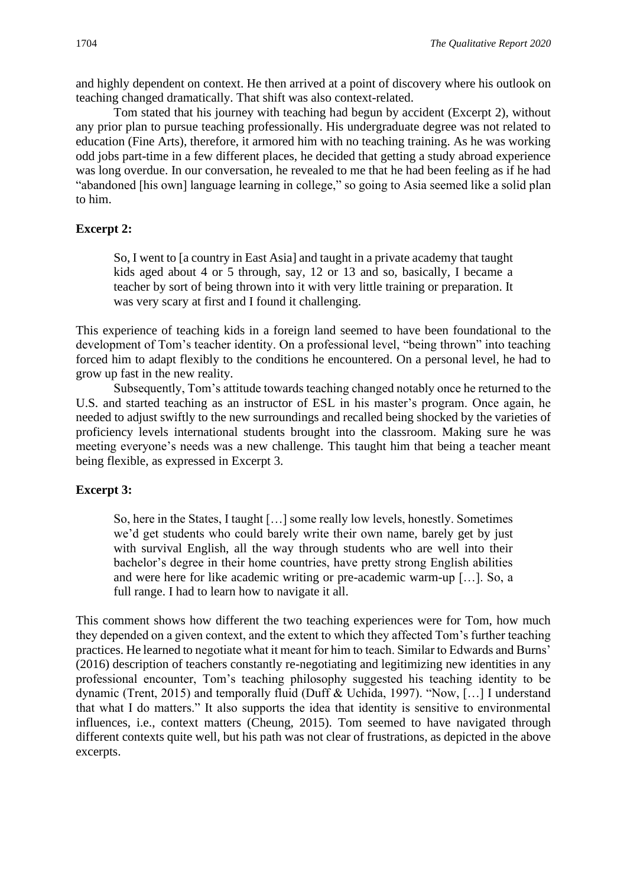and highly dependent on context. He then arrived at a point of discovery where his outlook on teaching changed dramatically. That shift was also context-related.

Tom stated that his journey with teaching had begun by accident (Excerpt 2), without any prior plan to pursue teaching professionally. His undergraduate degree was not related to education (Fine Arts), therefore, it armored him with no teaching training. As he was working odd jobs part-time in a few different places, he decided that getting a study abroad experience was long overdue. In our conversation, he revealed to me that he had been feeling as if he had "abandoned [his own] language learning in college," so going to Asia seemed like a solid plan to him.

#### **Excerpt 2:**

So, I went to [a country in East Asia] and taught in a private academy that taught kids aged about 4 or 5 through, say, 12 or 13 and so, basically, I became a teacher by sort of being thrown into it with very little training or preparation. It was very scary at first and I found it challenging.

This experience of teaching kids in a foreign land seemed to have been foundational to the development of Tom's teacher identity. On a professional level, "being thrown" into teaching forced him to adapt flexibly to the conditions he encountered. On a personal level, he had to grow up fast in the new reality.

Subsequently, Tom's attitude towards teaching changed notably once he returned to the U.S. and started teaching as an instructor of ESL in his master's program. Once again, he needed to adjust swiftly to the new surroundings and recalled being shocked by the varieties of proficiency levels international students brought into the classroom. Making sure he was meeting everyone's needs was a new challenge. This taught him that being a teacher meant being flexible, as expressed in Excerpt 3.

#### **Excerpt 3:**

So, here in the States, I taught […] some really low levels, honestly. Sometimes we'd get students who could barely write their own name, barely get by just with survival English, all the way through students who are well into their bachelor's degree in their home countries, have pretty strong English abilities and were here for like academic writing or pre-academic warm-up […]. So, a full range. I had to learn how to navigate it all.

This comment shows how different the two teaching experiences were for Tom, how much they depended on a given context, and the extent to which they affected Tom's further teaching practices. He learned to negotiate what it meant for him to teach. Similar to Edwards and Burns' (2016) description of teachers constantly re-negotiating and legitimizing new identities in any professional encounter, Tom's teaching philosophy suggested his teaching identity to be dynamic (Trent, 2015) and temporally fluid (Duff & Uchida, 1997). "Now, […] I understand that what I do matters." It also supports the idea that identity is sensitive to environmental influences, i.e., context matters (Cheung, 2015). Tom seemed to have navigated through different contexts quite well, but his path was not clear of frustrations, as depicted in the above excerpts.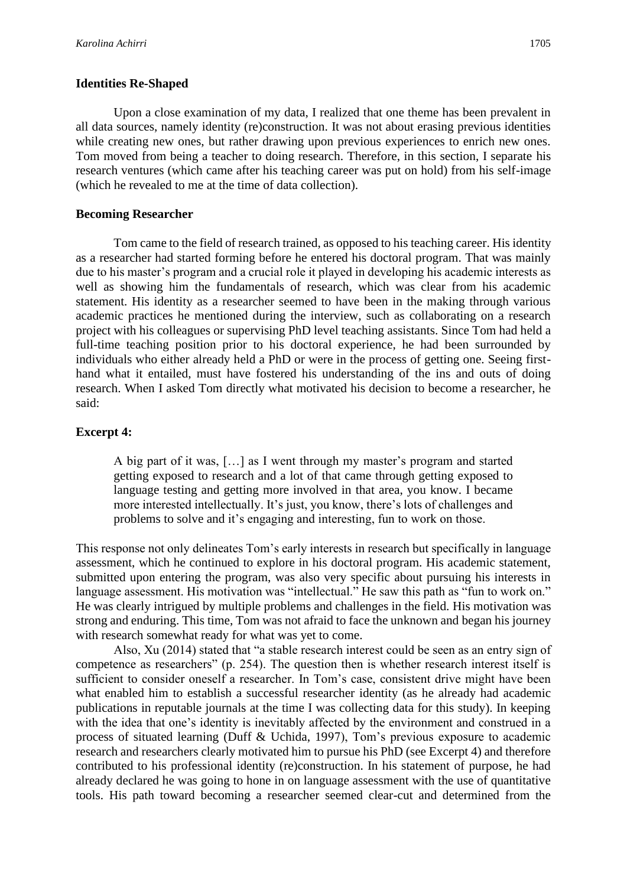#### **Identities Re-Shaped**

Upon a close examination of my data, I realized that one theme has been prevalent in all data sources, namely identity (re)construction. It was not about erasing previous identities while creating new ones, but rather drawing upon previous experiences to enrich new ones. Tom moved from being a teacher to doing research. Therefore, in this section, I separate his research ventures (which came after his teaching career was put on hold) from his self-image (which he revealed to me at the time of data collection).

#### **Becoming Researcher**

Tom came to the field of research trained, as opposed to his teaching career. His identity as a researcher had started forming before he entered his doctoral program. That was mainly due to his master's program and a crucial role it played in developing his academic interests as well as showing him the fundamentals of research, which was clear from his academic statement. His identity as a researcher seemed to have been in the making through various academic practices he mentioned during the interview, such as collaborating on a research project with his colleagues or supervising PhD level teaching assistants. Since Tom had held a full-time teaching position prior to his doctoral experience, he had been surrounded by individuals who either already held a PhD or were in the process of getting one. Seeing firsthand what it entailed, must have fostered his understanding of the ins and outs of doing research. When I asked Tom directly what motivated his decision to become a researcher, he said:

#### **Excerpt 4:**

A big part of it was, […] as I went through my master's program and started getting exposed to research and a lot of that came through getting exposed to language testing and getting more involved in that area, you know. I became more interested intellectually. It's just, you know, there's lots of challenges and problems to solve and it's engaging and interesting, fun to work on those.

This response not only delineates Tom's early interests in research but specifically in language assessment, which he continued to explore in his doctoral program. His academic statement, submitted upon entering the program, was also very specific about pursuing his interests in language assessment. His motivation was "intellectual." He saw this path as "fun to work on." He was clearly intrigued by multiple problems and challenges in the field. His motivation was strong and enduring. This time, Tom was not afraid to face the unknown and began his journey with research somewhat ready for what was yet to come.

Also, Xu (2014) stated that "a stable research interest could be seen as an entry sign of competence as researchers" (p. 254). The question then is whether research interest itself is sufficient to consider oneself a researcher. In Tom's case, consistent drive might have been what enabled him to establish a successful researcher identity (as he already had academic publications in reputable journals at the time I was collecting data for this study). In keeping with the idea that one's identity is inevitably affected by the environment and construed in a process of situated learning (Duff & Uchida, 1997), Tom's previous exposure to academic research and researchers clearly motivated him to pursue his PhD (see Excerpt 4) and therefore contributed to his professional identity (re)construction. In his statement of purpose, he had already declared he was going to hone in on language assessment with the use of quantitative tools. His path toward becoming a researcher seemed clear-cut and determined from the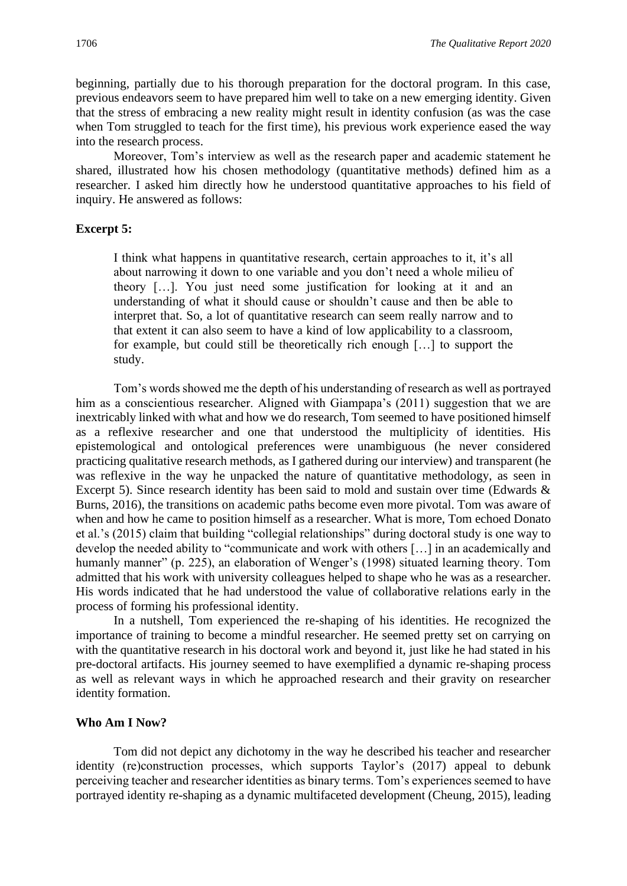beginning, partially due to his thorough preparation for the doctoral program. In this case, previous endeavors seem to have prepared him well to take on a new emerging identity. Given that the stress of embracing a new reality might result in identity confusion (as was the case when Tom struggled to teach for the first time), his previous work experience eased the way into the research process.

Moreover, Tom's interview as well as the research paper and academic statement he shared, illustrated how his chosen methodology (quantitative methods) defined him as a researcher. I asked him directly how he understood quantitative approaches to his field of inquiry. He answered as follows:

#### **Excerpt 5:**

I think what happens in quantitative research, certain approaches to it, it's all about narrowing it down to one variable and you don't need a whole milieu of theory […]. You just need some justification for looking at it and an understanding of what it should cause or shouldn't cause and then be able to interpret that. So, a lot of quantitative research can seem really narrow and to that extent it can also seem to have a kind of low applicability to a classroom, for example, but could still be theoretically rich enough […] to support the study.

Tom's words showed me the depth of his understanding of research as well as portrayed him as a conscientious researcher. Aligned with Giampapa's (2011) suggestion that we are inextricably linked with what and how we do research, Tom seemed to have positioned himself as a reflexive researcher and one that understood the multiplicity of identities. His epistemological and ontological preferences were unambiguous (he never considered practicing qualitative research methods, as I gathered during our interview) and transparent (he was reflexive in the way he unpacked the nature of quantitative methodology, as seen in Excerpt 5). Since research identity has been said to mold and sustain over time (Edwards & Burns, 2016), the transitions on academic paths become even more pivotal. Tom was aware of when and how he came to position himself as a researcher. What is more, Tom echoed Donato et al.'s (2015) claim that building "collegial relationships" during doctoral study is one way to develop the needed ability to "communicate and work with others […] in an academically and humanly manner" (p. 225), an elaboration of Wenger's (1998) situated learning theory. Tom admitted that his work with university colleagues helped to shape who he was as a researcher. His words indicated that he had understood the value of collaborative relations early in the process of forming his professional identity.

In a nutshell, Tom experienced the re-shaping of his identities. He recognized the importance of training to become a mindful researcher. He seemed pretty set on carrying on with the quantitative research in his doctoral work and beyond it, just like he had stated in his pre-doctoral artifacts. His journey seemed to have exemplified a dynamic re-shaping process as well as relevant ways in which he approached research and their gravity on researcher identity formation.

#### **Who Am I Now?**

Tom did not depict any dichotomy in the way he described his teacher and researcher identity (re)construction processes, which supports Taylor's (2017) appeal to debunk perceiving teacher and researcher identities as binary terms. Tom's experiences seemed to have portrayed identity re-shaping as a dynamic multifaceted development (Cheung, 2015), leading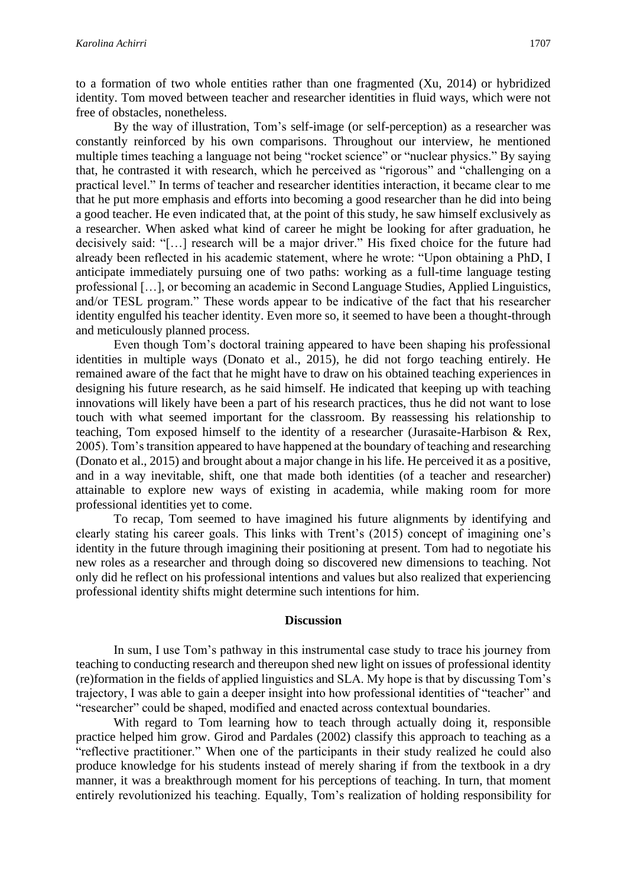to a formation of two whole entities rather than one fragmented (Xu, 2014) or hybridized identity. Tom moved between teacher and researcher identities in fluid ways, which were not free of obstacles, nonetheless.

By the way of illustration, Tom's self-image (or self-perception) as a researcher was constantly reinforced by his own comparisons. Throughout our interview, he mentioned multiple times teaching a language not being "rocket science" or "nuclear physics." By saying that, he contrasted it with research, which he perceived as "rigorous" and "challenging on a practical level." In terms of teacher and researcher identities interaction, it became clear to me that he put more emphasis and efforts into becoming a good researcher than he did into being a good teacher. He even indicated that, at the point of this study, he saw himself exclusively as a researcher. When asked what kind of career he might be looking for after graduation, he decisively said: "[…] research will be a major driver." His fixed choice for the future had already been reflected in his academic statement, where he wrote: "Upon obtaining a PhD, I anticipate immediately pursuing one of two paths: working as a full-time language testing professional […], or becoming an academic in Second Language Studies, Applied Linguistics, and/or TESL program." These words appear to be indicative of the fact that his researcher identity engulfed his teacher identity. Even more so, it seemed to have been a thought-through and meticulously planned process.

Even though Tom's doctoral training appeared to have been shaping his professional identities in multiple ways (Donato et al., 2015), he did not forgo teaching entirely. He remained aware of the fact that he might have to draw on his obtained teaching experiences in designing his future research, as he said himself. He indicated that keeping up with teaching innovations will likely have been a part of his research practices, thus he did not want to lose touch with what seemed important for the classroom. By reassessing his relationship to teaching, Tom exposed himself to the identity of a researcher (Jurasaite-Harbison & Rex, 2005). Tom's transition appeared to have happened at the boundary of teaching and researching (Donato et al., 2015) and brought about a major change in his life. He perceived it as a positive, and in a way inevitable, shift, one that made both identities (of a teacher and researcher) attainable to explore new ways of existing in academia, while making room for more professional identities yet to come.

To recap, Tom seemed to have imagined his future alignments by identifying and clearly stating his career goals. This links with Trent's (2015) concept of imagining one's identity in the future through imagining their positioning at present. Tom had to negotiate his new roles as a researcher and through doing so discovered new dimensions to teaching. Not only did he reflect on his professional intentions and values but also realized that experiencing professional identity shifts might determine such intentions for him.

#### **Discussion**

In sum, I use Tom's pathway in this instrumental case study to trace his journey from teaching to conducting research and thereupon shed new light on issues of professional identity (re)formation in the fields of applied linguistics and SLA. My hope is that by discussing Tom's trajectory, I was able to gain a deeper insight into how professional identities of "teacher" and "researcher" could be shaped, modified and enacted across contextual boundaries.

With regard to Tom learning how to teach through actually doing it, responsible practice helped him grow. Girod and Pardales (2002) classify this approach to teaching as a "reflective practitioner." When one of the participants in their study realized he could also produce knowledge for his students instead of merely sharing if from the textbook in a dry manner, it was a breakthrough moment for his perceptions of teaching. In turn, that moment entirely revolutionized his teaching. Equally, Tom's realization of holding responsibility for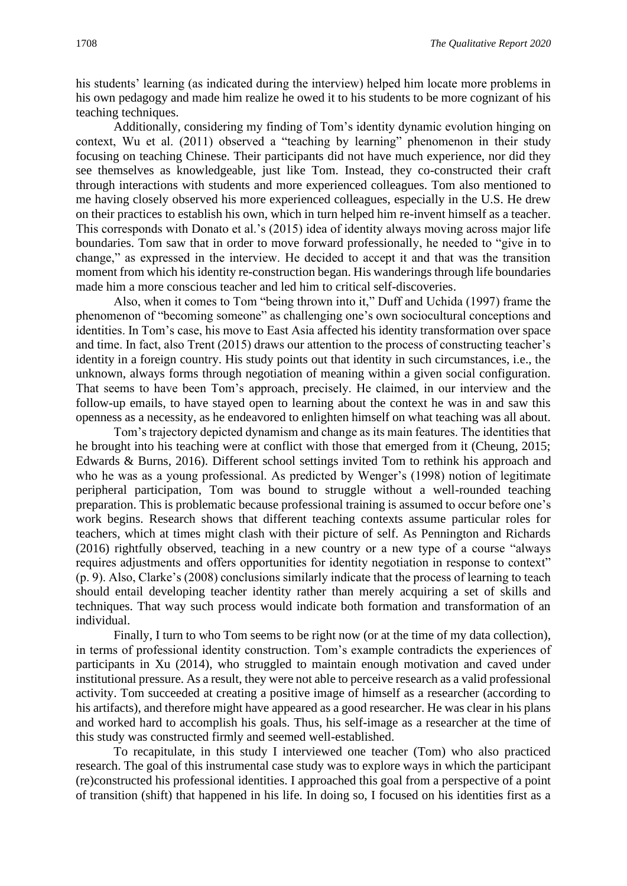his students' learning (as indicated during the interview) helped him locate more problems in his own pedagogy and made him realize he owed it to his students to be more cognizant of his teaching techniques.

Additionally, considering my finding of Tom's identity dynamic evolution hinging on context, Wu et al. (2011) observed a "teaching by learning" phenomenon in their study focusing on teaching Chinese. Their participants did not have much experience, nor did they see themselves as knowledgeable, just like Tom. Instead, they co-constructed their craft through interactions with students and more experienced colleagues. Tom also mentioned to me having closely observed his more experienced colleagues, especially in the U.S. He drew on their practices to establish his own, which in turn helped him re-invent himself as a teacher. This corresponds with Donato et al.'s (2015) idea of identity always moving across major life boundaries. Tom saw that in order to move forward professionally, he needed to "give in to change," as expressed in the interview. He decided to accept it and that was the transition moment from which his identity re-construction began. His wanderings through life boundaries made him a more conscious teacher and led him to critical self-discoveries.

Also, when it comes to Tom "being thrown into it," Duff and Uchida (1997) frame the phenomenon of "becoming someone" as challenging one's own sociocultural conceptions and identities. In Tom's case, his move to East Asia affected his identity transformation over space and time. In fact, also Trent (2015) draws our attention to the process of constructing teacher's identity in a foreign country. His study points out that identity in such circumstances, i.e., the unknown, always forms through negotiation of meaning within a given social configuration. That seems to have been Tom's approach, precisely. He claimed, in our interview and the follow-up emails, to have stayed open to learning about the context he was in and saw this openness as a necessity, as he endeavored to enlighten himself on what teaching was all about.

Tom's trajectory depicted dynamism and change as its main features. The identities that he brought into his teaching were at conflict with those that emerged from it (Cheung, 2015; Edwards & Burns, 2016). Different school settings invited Tom to rethink his approach and who he was as a young professional. As predicted by Wenger's (1998) notion of legitimate peripheral participation, Tom was bound to struggle without a well-rounded teaching preparation. This is problematic because professional training is assumed to occur before one's work begins. Research shows that different teaching contexts assume particular roles for teachers, which at times might clash with their picture of self. As Pennington and Richards (2016) rightfully observed, teaching in a new country or a new type of a course "always requires adjustments and offers opportunities for identity negotiation in response to context" (p. 9). Also, Clarke's (2008) conclusions similarly indicate that the process of learning to teach should entail developing teacher identity rather than merely acquiring a set of skills and techniques. That way such process would indicate both formation and transformation of an individual.

Finally, I turn to who Tom seems to be right now (or at the time of my data collection), in terms of professional identity construction. Tom's example contradicts the experiences of participants in Xu (2014), who struggled to maintain enough motivation and caved under institutional pressure. As a result, they were not able to perceive research as a valid professional activity. Tom succeeded at creating a positive image of himself as a researcher (according to his artifacts), and therefore might have appeared as a good researcher. He was clear in his plans and worked hard to accomplish his goals. Thus, his self-image as a researcher at the time of this study was constructed firmly and seemed well-established.

To recapitulate, in this study I interviewed one teacher (Tom) who also practiced research. The goal of this instrumental case study was to explore ways in which the participant (re)constructed his professional identities. I approached this goal from a perspective of a point of transition (shift) that happened in his life. In doing so, I focused on his identities first as a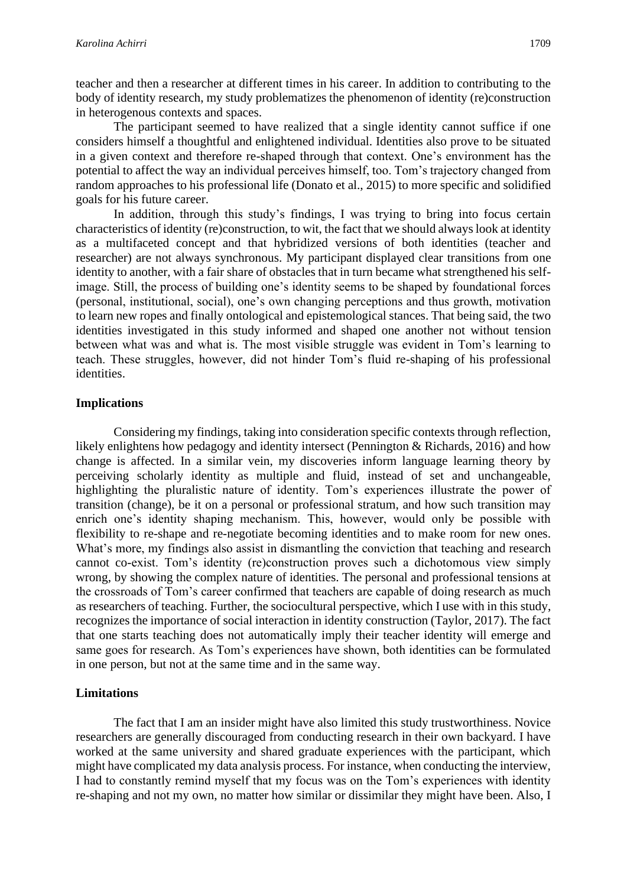teacher and then a researcher at different times in his career. In addition to contributing to the body of identity research, my study problematizes the phenomenon of identity (re)construction in heterogenous contexts and spaces.

The participant seemed to have realized that a single identity cannot suffice if one considers himself a thoughtful and enlightened individual. Identities also prove to be situated in a given context and therefore re-shaped through that context. One's environment has the potential to affect the way an individual perceives himself, too. Tom's trajectory changed from random approaches to his professional life (Donato et al., 2015) to more specific and solidified goals for his future career.

In addition, through this study's findings, I was trying to bring into focus certain characteristics of identity (re)construction, to wit, the fact that we should always look at identity as a multifaceted concept and that hybridized versions of both identities (teacher and researcher) are not always synchronous. My participant displayed clear transitions from one identity to another, with a fair share of obstacles that in turn became what strengthened his selfimage. Still, the process of building one's identity seems to be shaped by foundational forces (personal, institutional, social), one's own changing perceptions and thus growth, motivation to learn new ropes and finally ontological and epistemological stances. That being said, the two identities investigated in this study informed and shaped one another not without tension between what was and what is. The most visible struggle was evident in Tom's learning to teach. These struggles, however, did not hinder Tom's fluid re-shaping of his professional identities.

#### **Implications**

Considering my findings, taking into consideration specific contexts through reflection, likely enlightens how pedagogy and identity intersect (Pennington & Richards, 2016) and how change is affected. In a similar vein, my discoveries inform language learning theory by perceiving scholarly identity as multiple and fluid, instead of set and unchangeable, highlighting the pluralistic nature of identity. Tom's experiences illustrate the power of transition (change), be it on a personal or professional stratum, and how such transition may enrich one's identity shaping mechanism. This, however, would only be possible with flexibility to re-shape and re-negotiate becoming identities and to make room for new ones. What's more, my findings also assist in dismantling the conviction that teaching and research cannot co-exist. Tom's identity (re)construction proves such a dichotomous view simply wrong, by showing the complex nature of identities. The personal and professional tensions at the crossroads of Tom's career confirmed that teachers are capable of doing research as much as researchers of teaching. Further, the sociocultural perspective, which I use with in this study, recognizes the importance of social interaction in identity construction (Taylor, 2017). The fact that one starts teaching does not automatically imply their teacher identity will emerge and same goes for research. As Tom's experiences have shown, both identities can be formulated in one person, but not at the same time and in the same way.

#### **Limitations**

The fact that I am an insider might have also limited this study trustworthiness. Novice researchers are generally discouraged from conducting research in their own backyard. I have worked at the same university and shared graduate experiences with the participant, which might have complicated my data analysis process. For instance, when conducting the interview, I had to constantly remind myself that my focus was on the Tom's experiences with identity re-shaping and not my own, no matter how similar or dissimilar they might have been. Also, I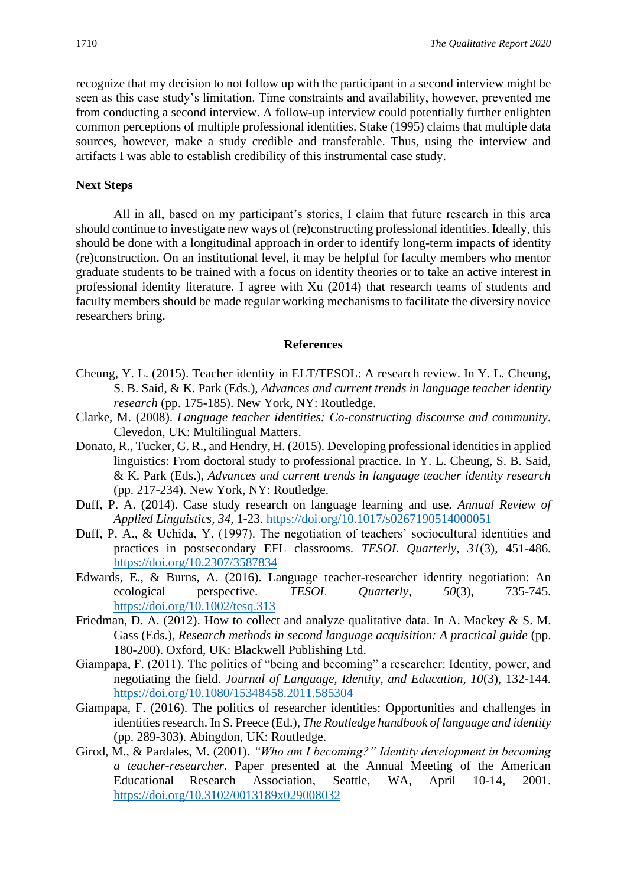recognize that my decision to not follow up with the participant in a second interview might be seen as this case study's limitation. Time constraints and availability, however, prevented me from conducting a second interview. A follow-up interview could potentially further enlighten common perceptions of multiple professional identities. Stake (1995) claims that multiple data sources, however, make a study credible and transferable. Thus, using the interview and artifacts I was able to establish credibility of this instrumental case study.

#### **Next Steps**

All in all, based on my participant's stories, I claim that future research in this area should continue to investigate new ways of (re)constructing professional identities. Ideally, this should be done with a longitudinal approach in order to identify long-term impacts of identity (re)construction. On an institutional level, it may be helpful for faculty members who mentor graduate students to be trained with a focus on identity theories or to take an active interest in professional identity literature. I agree with Xu (2014) that research teams of students and faculty members should be made regular working mechanisms to facilitate the diversity novice researchers bring.

#### **References**

- Cheung, Y. L. (2015). Teacher identity in ELT/TESOL: A research review. In Y. L. Cheung, S. B. Said, & K. Park (Eds.), *Advances and current trends in language teacher identity research* (pp. 175-185). New York, NY: Routledge.
- Clarke, M. (2008). *Language teacher identities: Co-constructing discourse and community*. Clevedon, UK: Multilingual Matters.
- Donato, R., Tucker, G. R., and Hendry, H. (2015). Developing professional identities in applied linguistics: From doctoral study to professional practice. In Y. L. Cheung, S. B. Said, & K. Park (Eds.), *Advances and current trends in language teacher identity research* (pp. 217-234). New York, NY: Routledge.
- Duff, P. A. (2014). Case study research on language learning and use*. Annual Review of Applied Linguistics, 34,* 1-23.<https://doi.org/10.1017/s0267190514000051>
- Duff, P. A., & Uchida, Y. (1997). The negotiation of teachers' sociocultural identities and practices in postsecondary EFL classrooms. *TESOL Quarterly, 31*(3), 451-486. <https://doi.org/10.2307/3587834>
- Edwards, E., & Burns, A. (2016). Language teacher-researcher identity negotiation: An ecological perspective. *TESOL Quarterly, 50*(3), 735-745. <https://doi.org/10.1002/tesq.313>
- Friedman, D. A. (2012). How to collect and analyze qualitative data. In A. Mackey & S. M. Gass (Eds.), *Research methods in second language acquisition: A practical guide* (pp. 180-200). Oxford, UK: Blackwell Publishing Ltd.
- Giampapa, F. (2011). The politics of "being and becoming" a researcher: Identity, power, and negotiating the field. *Journal of Language, Identity, and Education, 10*(3), 132-144. <https://doi.org/10.1080/15348458.2011.585304>
- Giampapa, F. (2016). The politics of researcher identities: Opportunities and challenges in identities research. In S. Preece (Ed.), *The Routledge handbook of language and identity* (pp. 289-303). Abingdon, UK: Routledge.
- Girod, M., & Pardales, M. (2001). *"Who am I becoming?" Identity development in becoming a teacher-researcher.* Paper presented at the Annual Meeting of the American Educational Research Association, Seattle, WA, April 10-14, 2001. <https://doi.org/10.3102/0013189x029008032>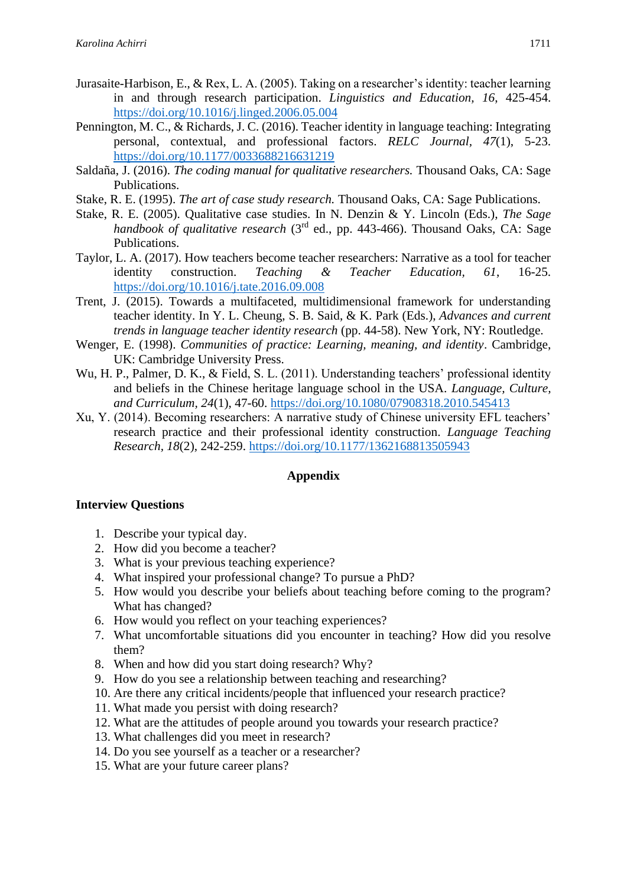- Jurasaite-Harbison, E., & Rex, L. A. (2005). Taking on a researcher's identity: teacher learning in and through research participation. *Linguistics and Education, 16*, 425-454. <https://doi.org/10.1016/j.linged.2006.05.004>
- Pennington, M. C., & Richards, J. C. (2016). Teacher identity in language teaching: Integrating personal, contextual, and professional factors. *RELC Journal, 47*(1), 5-23. <https://doi.org/10.1177/0033688216631219>
- Saldaña, J. (2016). *The coding manual for qualitative researchers.* Thousand Oaks, CA: Sage Publications.
- Stake, R. E. (1995). *The art of case study research.* Thousand Oaks, CA: Sage Publications.
- Stake, R. E. (2005). Qualitative case studies. In N. Denzin & Y. Lincoln (Eds.), *The Sage*  handbook of qualitative research (3<sup>rd</sup> ed., pp. 443-466). Thousand Oaks, CA: Sage Publications.
- Taylor, L. A. (2017). How teachers become teacher researchers: Narrative as a tool for teacher identity construction. *Teaching & Teacher Education, 61*, 16-25. <https://doi.org/10.1016/j.tate.2016.09.008>
- Trent, J. (2015). Towards a multifaceted, multidimensional framework for understanding teacher identity. In Y. L. Cheung, S. B. Said, & K. Park (Eds.), *Advances and current trends in language teacher identity research* (pp. 44-58). New York, NY: Routledge.
- Wenger, E. (1998). *Communities of practice: Learning, meaning, and identity*. Cambridge, UK: Cambridge University Press.
- Wu, H. P., Palmer, D. K., & Field, S. L. (2011). Understanding teachers' professional identity and beliefs in the Chinese heritage language school in the USA. *Language, Culture, and Curriculum, 24*(1), 47-60.<https://doi.org/10.1080/07908318.2010.545413>
- Xu, Y. (2014). Becoming researchers: A narrative study of Chinese university EFL teachers' research practice and their professional identity construction. *Language Teaching Research, 18*(2), 242-259.<https://doi.org/10.1177/1362168813505943>

#### **Appendix**

#### **Interview Questions**

- 1. Describe your typical day.
- 2. How did you become a teacher?
- 3. What is your previous teaching experience?
- 4. What inspired your professional change? To pursue a PhD?
- 5. How would you describe your beliefs about teaching before coming to the program? What has changed?
- 6. How would you reflect on your teaching experiences?
- 7. What uncomfortable situations did you encounter in teaching? How did you resolve them?
- 8. When and how did you start doing research? Why?
- 9. How do you see a relationship between teaching and researching?
- 10. Are there any critical incidents/people that influenced your research practice?
- 11. What made you persist with doing research?
- 12. What are the attitudes of people around you towards your research practice?
- 13. What challenges did you meet in research?
- 14. Do you see yourself as a teacher or a researcher?
- 15. What are your future career plans?